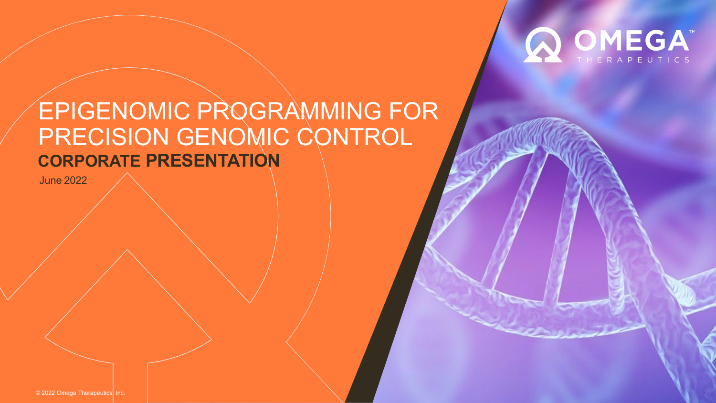

# EPIGENOMIC PROGRAMMING FOR PRECISION GENOMIC CONTROL **CORPORATE PRESENTATION**

June 2022

© 2022 Omega Therapeutics, Inc.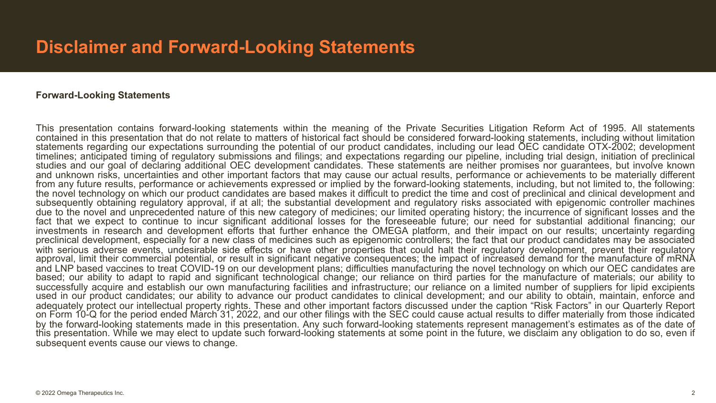#### **Forward-Looking Statements**

This presentation contains forward-looking statements within the meaning of the Private Securities Litigation Reform Act of 1995. All statements contained in this presentation that do not relate to matters of historical fact should be considered forward-looking statements, including without limitation statements regarding our expectations surrounding the potential of our product candidates, including our lead OEC candidate OTX-2002; development timelines; anticipated timing of regulatory submissions and filings; and expectations regarding our pipeline, including trial design, initiation of preclinical studies and our goal of declaring additional OEC development candidates. These statements are neither promises nor guarantees, but involve known and unknown risks, uncertainties and other important factors that may cause our actual results, performance or achievements to be materially different from any future results, performance or achievements expressed or implied by the forward-looking statements, including, but not limited to, the following: the novel technology on which our product candidates are based makes it difficult to predict the time and cost of preclinical and clinical development and subsequently obtaining regulatory approval, if at all; the substantial development and regulatory risks associated with epigenomic controller machines due to the novel and unprecedented nature of this new category of medicines; our limited operating history; the incurrence of significant losses and the fact that we expect to continue to incur significant additional losses for the foreseeable future; our need for substantial additional financing; our investments in research and development efforts that further enhance the preclinical development, especially for a new class of medicines such as epigenomic controllers; the fact that our product candidates may be associated<br>with serious adverse events, undesirable side effects or have other pr approval, limit their commercial potential, or result in significant negative consequences; the impact of increased demand for the manufacture of mRNA and LNP based vaccines to treat COVID-19 on our development plans; difficulties manufacturing the novel technology on which our OEC candidates are based; our ability to adapt to rapid and significant technological change; our reliance on third parties for the manufacture of materials; our ability to successfully acquire and establish our own manufacturing facilities and infrastructure; our reliance on a limited number of suppliers for lipid excipients used in our product candidates; our ability to advance our product candidates to clinical development; and our ability to obtain, maintain, enforce and adequately protect our intellectual property rights. These and other important factors discussed under the caption "Risk Factors" in our Quarterly Report on Form 10-Q for the period ended March 31, 2022, and our other filings with the SEC could cause actual results to differ materially from those indicated by the forward-looking statements made in this presentation. Any such forward-looking statements represent management's estimates as of the date of this presentation. While we may elect to update such forward-looking statements at some point in the future, we disclaim any obligation to do so, even if subsequent events cause our views to change.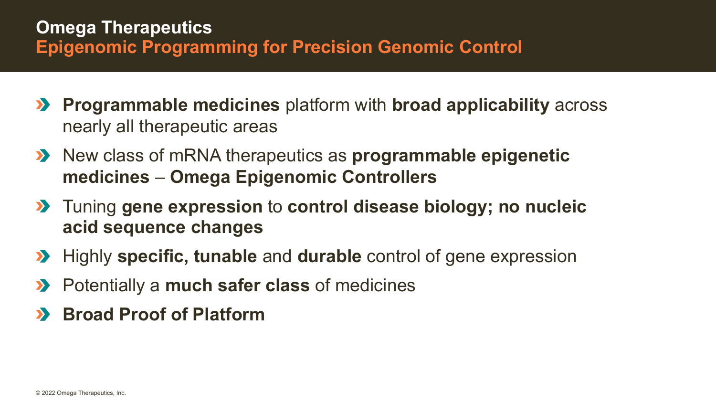- **Programmable medicines** platform with **broad applicability** across  $\sum$ nearly all therapeutic areas
- **EX** New class of mRNA therapeutics as **programmable epigenetic medicines** – **Omega Epigenomic Controllers**
- Tuning **gene expression** to **control disease biology; no nucleic acid sequence changes**
- **EX** Highly **specific, tunable** and **durable** control of gene expression
- Potentially a **much safer class** of medicines  $\sum$
- **Broad Proof of Platform** $\sum$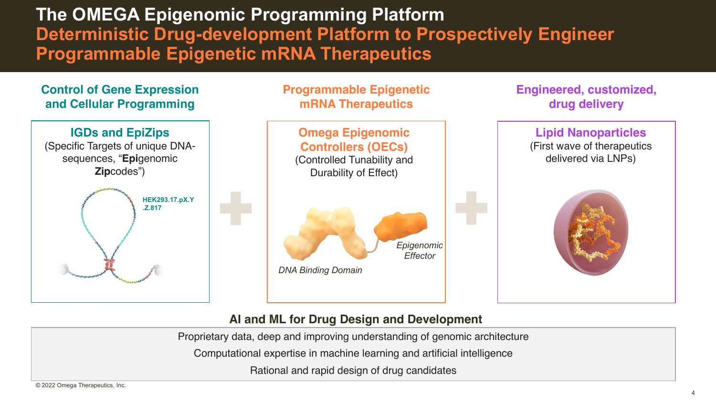**The OMEGA Epigenomic Programming Platform Deterministic Drug-development Platform to Prospectively Engineer Programmable Epigenetic mRNA Therapeutics**

#### **Control of Gene Expression and Cellular Programming**





**Engineered, customized, drug delivery**

### **Omega Epigenomic Controllers (OECs)** (Controlled Tunability and Durability of Effect) **Lipid Nanoparticles** (First wave of therapeutics delivered via LNPs) *DNA Binding Domain Epigenomic Effector*

#### **AI and ML for Drug Design and Development**

Proprietary data, deep and improving understanding of genomic architecture

Computational expertise in machine learning and artificial intelligence

Rational and rapid design of drug candidates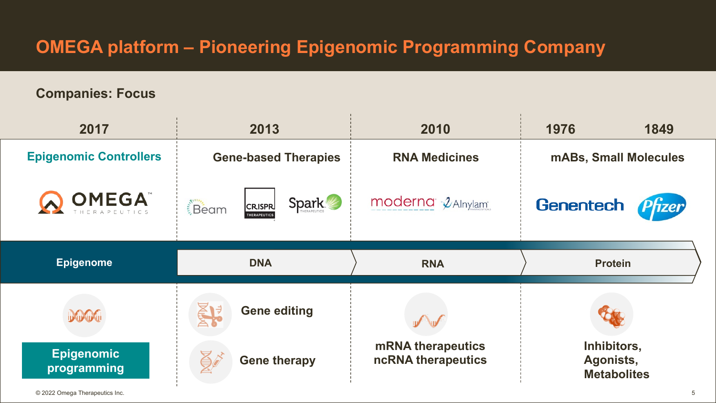## **OMEGA platform – Pioneering Epigenomic Programming Company**

#### **Companies: Focus**

| 2017                                     | 2013                                                         | 2010                                           | 1976<br>1849                                   |  |  |
|------------------------------------------|--------------------------------------------------------------|------------------------------------------------|------------------------------------------------|--|--|
| <b>Epigenomic Controllers</b>            | <b>Gene-based Therapies</b>                                  | <b>RNA Medicines</b>                           | <b>mABs, Small Molecules</b>                   |  |  |
| <b>OMEGA</b>                             | <b>Spark</b><br>Beam<br><b>CRISPR</b><br><b>THERAPEUTICS</b> | moderna 2 Alnylam                              | Genentech<br><b>Tzer</b>                       |  |  |
| <b>Epigenome</b>                         | <b>DNA</b>                                                   | <b>RNA</b>                                     | <b>Protein</b>                                 |  |  |
| DOOG<br><b>Epigenomic</b><br>programming | <b>Gene editing</b><br><b>Gene therapy</b>                   | <b>mRNA</b> therapeutics<br>ncRNA therapeutics | Inhibitors,<br>Agonists,<br><b>Metabolites</b> |  |  |